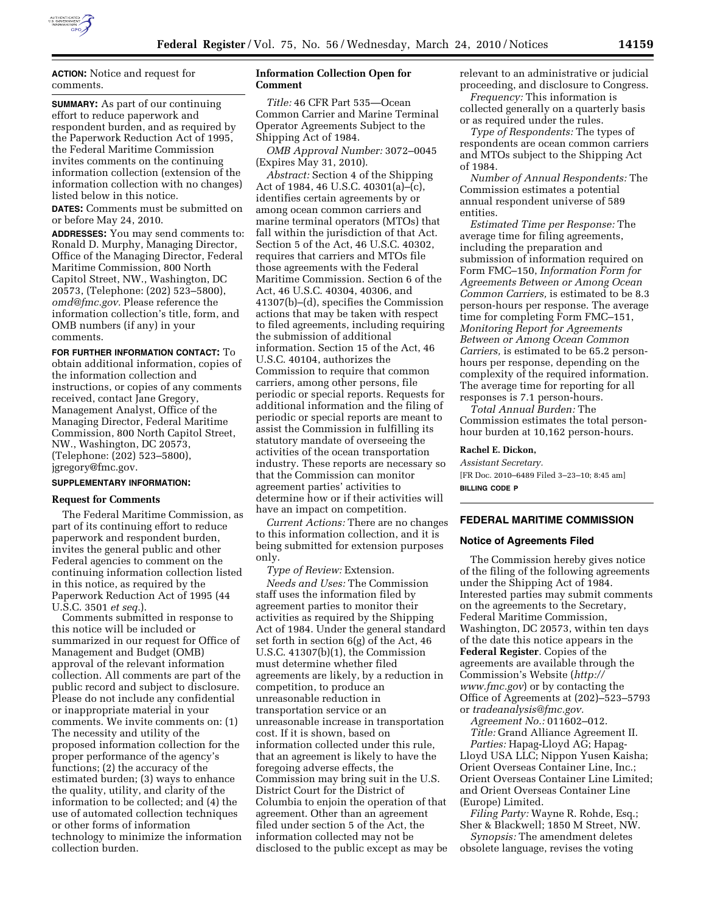

**ACTION:** Notice and request for comments.

**SUMMARY:** As part of our continuing effort to reduce paperwork and respondent burden, and as required by the Paperwork Reduction Act of 1995, the Federal Maritime Commission invites comments on the continuing information collection (extension of the information collection with no changes) listed below in this notice*.* 

**DATES:** Comments must be submitted on or before May 24, 2010.

**ADDRESSES:** You may send comments to: Ronald D. Murphy, Managing Director, Office of the Managing Director, Federal Maritime Commission, 800 North Capitol Street, NW., Washington, DC 20573, (Telephone: (202) 523–5800), *omd@fmc.gov.* Please reference the information collection's title, form, and OMB numbers (if any) in your comments.

**FOR FURTHER INFORMATION CONTACT:** To obtain additional information, copies of the information collection and instructions, or copies of any comments received, contact Jane Gregory, Management Analyst, Office of the Managing Director, Federal Maritime Commission, 800 North Capitol Street, NW., Washington, DC 20573, (Telephone: (202) 523–5800), jgregory@fmc.gov.

## **SUPPLEMENTARY INFORMATION:**

#### **Request for Comments**

The Federal Maritime Commission, as part of its continuing effort to reduce paperwork and respondent burden, invites the general public and other Federal agencies to comment on the continuing information collection listed in this notice, as required by the Paperwork Reduction Act of 1995 (44 U.S.C. 3501 *et seq.*).

Comments submitted in response to this notice will be included or summarized in our request for Office of Management and Budget (OMB) approval of the relevant information collection. All comments are part of the public record and subject to disclosure. Please do not include any confidential or inappropriate material in your comments. We invite comments on: (1) The necessity and utility of the proposed information collection for the proper performance of the agency's functions; (2) the accuracy of the estimated burden; (3) ways to enhance the quality, utility, and clarity of the information to be collected; and (4) the use of automated collection techniques or other forms of information technology to minimize the information collection burden.

## **Information Collection Open for Comment**

*Title:* 46 CFR Part 535—Ocean Common Carrier and Marine Terminal Operator Agreements Subject to the Shipping Act of 1984.

*OMB Approval Number:* 3072–0045 (Expires May 31, 2010).

*Abstract:* Section 4 of the Shipping Act of 1984, 46 U.S.C. 40301(a)–(c), identifies certain agreements by or among ocean common carriers and marine terminal operators (MTOs) that fall within the jurisdiction of that Act. Section 5 of the Act, 46 U.S.C. 40302, requires that carriers and MTOs file those agreements with the Federal Maritime Commission. Section 6 of the Act, 46 U.S.C. 40304, 40306, and 41307(b)–(d), specifies the Commission actions that may be taken with respect to filed agreements, including requiring the submission of additional information. Section 15 of the Act, 46 U.S.C. 40104, authorizes the Commission to require that common carriers, among other persons, file periodic or special reports. Requests for additional information and the filing of periodic or special reports are meant to assist the Commission in fulfilling its statutory mandate of overseeing the activities of the ocean transportation industry. These reports are necessary so that the Commission can monitor agreement parties' activities to determine how or if their activities will have an impact on competition.

*Current Actions:* There are no changes to this information collection, and it is being submitted for extension purposes only.

*Type of Review:* Extension. *Needs and Uses:* The Commission staff uses the information filed by agreement parties to monitor their activities as required by the Shipping Act of 1984. Under the general standard set forth in section 6(g) of the Act, 46 U.S.C. 41307(b)(1), the Commission must determine whether filed agreements are likely, by a reduction in competition, to produce an unreasonable reduction in transportation service or an unreasonable increase in transportation cost. If it is shown, based on information collected under this rule, that an agreement is likely to have the foregoing adverse effects, the Commission may bring suit in the U.S. District Court for the District of Columbia to enjoin the operation of that agreement. Other than an agreement filed under section 5 of the Act, the information collected may not be disclosed to the public except as may be relevant to an administrative or judicial proceeding, and disclosure to Congress.

*Frequency:* This information is collected generally on a quarterly basis or as required under the rules.

*Type of Respondents:* The types of respondents are ocean common carriers and MTOs subject to the Shipping Act of 1984.

*Number of Annual Respondents:* The Commission estimates a potential annual respondent universe of 589 entities.

*Estimated Time per Response:* The average time for filing agreements, including the preparation and submission of information required on Form FMC–150, *Information Form for Agreements Between or Among Ocean Common Carriers,* is estimated to be 8.3 person-hours per response. The average time for completing Form FMC–151, *Monitoring Report for Agreements Between or Among Ocean Common Carriers,* is estimated to be 65.2 personhours per response, depending on the complexity of the required information. The average time for reporting for all responses is 7.1 person-hours.

*Total Annual Burden:* The Commission estimates the total personhour burden at 10,162 person-hours.

#### **Rachel E. Dickon,**

*Assistant Secretary.*  [FR Doc. 2010–6489 Filed 3–23–10; 8:45 am] **BILLING CODE P** 

# **FEDERAL MARITIME COMMISSION**

#### **Notice of Agreements Filed**

The Commission hereby gives notice of the filing of the following agreements under the Shipping Act of 1984. Interested parties may submit comments on the agreements to the Secretary, Federal Maritime Commission, Washington, DC 20573, within ten days of the date this notice appears in the **Federal Register**. Copies of the agreements are available through the Commission's Website (*http:// www.fmc.gov*) or by contacting the Office of Agreements at (202)–523–5793 or *tradeanalysis@fmc.gov.* 

*Agreement No.:* 011602–012. *Title:* Grand Alliance Agreement II.

*Parties:* Hapag-Lloyd AG; Hapag-Lloyd USA LLC; Nippon Yusen Kaisha; Orient Overseas Container Line, Inc.; Orient Overseas Container Line Limited; and Orient Overseas Container Line (Europe) Limited.

*Filing Party:* Wayne R. Rohde, Esq.; Sher & Blackwell; 1850 M Street, NW.

*Synopsis:* The amendment deletes obsolete language, revises the voting